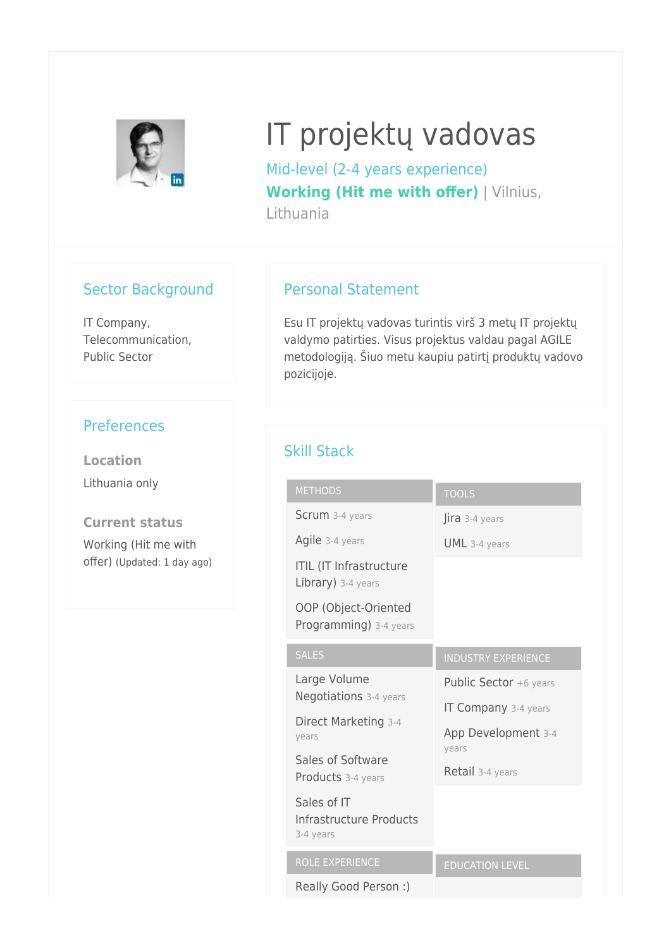

# IT projektų vadovas

Mid-level (2-4 years experience) **Working (Hit me with offer)** | Vilnius, Lithuania

#### Sector Background

IT Company, Telecommunication, Public Sector

## **Preferences**

**Location** Lithuania only

**Current status** Working (Hit me with offer) (Updated: 1 day ago)

### Personal Statement

Esu IT projektų vadovas turintis virš 3 metų IT projektų valdymo patirties. Visus projektus valdau pagal AGILE metodologiją. Šiuo metu kaupiu patirtį produktų vadovo pozicijoje.

## Skill Stack

| <b>METHODS</b>                                       | <b>TOOLS</b>                |
|------------------------------------------------------|-----------------------------|
| Scrum 3-4 years                                      | Jira 3-4 years              |
| Agile 3-4 years                                      | $UML$ 3-4 years             |
| <b>ITIL (IT Infrastructure</b><br>Library) 3-4 years |                             |
| OOP (Object-Oriented<br>Programming) 3-4 years       |                             |
| <b>SALES</b>                                         | <b>INDUSTRY EXPERIENCE</b>  |
| Large Volume                                         | Public Sector +6 years      |
| Negotiations 3-4 years                               | <b>IT Company</b> 3-4 years |
| Direct Marketing 3-4<br>years                        | App Development 3-4         |
| Sales of Software                                    | years                       |
| Products 3-4 years                                   | Retail 3-4 years            |
| Sales of IT<br>Infrastructure Products<br>3-4 years  |                             |
| <b>ROLE EXPERIENCE</b>                               | <b>EDUCATION LEVEL</b>      |
| Really Good Person :)                                |                             |